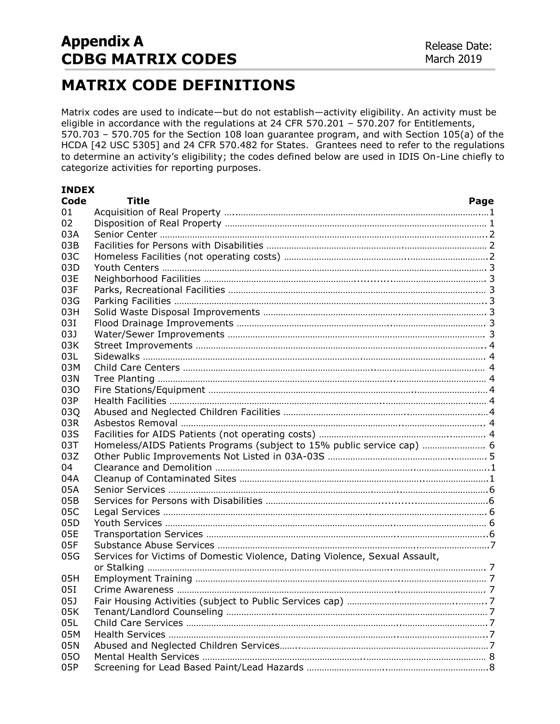## **MATRIX CODE DEFINITIONS**

Matrix codes are used to indicate—but do not establish—activity eligibility. An activity must be eligible in accordance with the regulations at 24 CFR 570.201 – 570.207 for Entitlements, 570.703 – 570.705 for the Section 108 loan guarantee program, and with Section 105(a) of the HCDA [42 USC 5305] and 24 CFR 570.482 for States. Grantees need to refer to the regulations to determine an activity's eligibility; the codes defined below are used in IDIS On-Line chiefly to categorize activities for reporting purposes.

| <b>INDEX</b>    |                                                                             |  |
|-----------------|-----------------------------------------------------------------------------|--|
| Code            | Title<br>Page                                                               |  |
| 01              |                                                                             |  |
| 02              |                                                                             |  |
| 03A             |                                                                             |  |
| 03B             |                                                                             |  |
| 03C             |                                                                             |  |
| 03D             |                                                                             |  |
| 03E             |                                                                             |  |
| 03F             |                                                                             |  |
| 03G             |                                                                             |  |
| 03H             |                                                                             |  |
| 03I             |                                                                             |  |
| 03J             |                                                                             |  |
| 03K             |                                                                             |  |
| 03L             |                                                                             |  |
| 03M             |                                                                             |  |
| 03N             |                                                                             |  |
| 030             |                                                                             |  |
| 03P             |                                                                             |  |
| 03Q             |                                                                             |  |
| 03R             |                                                                             |  |
| 03S             |                                                                             |  |
| 03T             | Homeless/AIDS Patients Programs (subject to 15% public service cap)  6      |  |
| 03Z             |                                                                             |  |
| 04              |                                                                             |  |
| 04A             |                                                                             |  |
| 05A             |                                                                             |  |
| 05B             |                                                                             |  |
| 05C             |                                                                             |  |
| 05 <sub>D</sub> |                                                                             |  |
| 05E             |                                                                             |  |
| 05F             |                                                                             |  |
| 05G             | Services for Victims of Domestic Violence, Dating Violence, Sexual Assault, |  |
|                 |                                                                             |  |
| 05H             |                                                                             |  |
| 051             |                                                                             |  |
| 05J             |                                                                             |  |
| 05K             |                                                                             |  |
| 05L             |                                                                             |  |
| 05M             |                                                                             |  |
| 05N             |                                                                             |  |
| 050             |                                                                             |  |
| 05P             |                                                                             |  |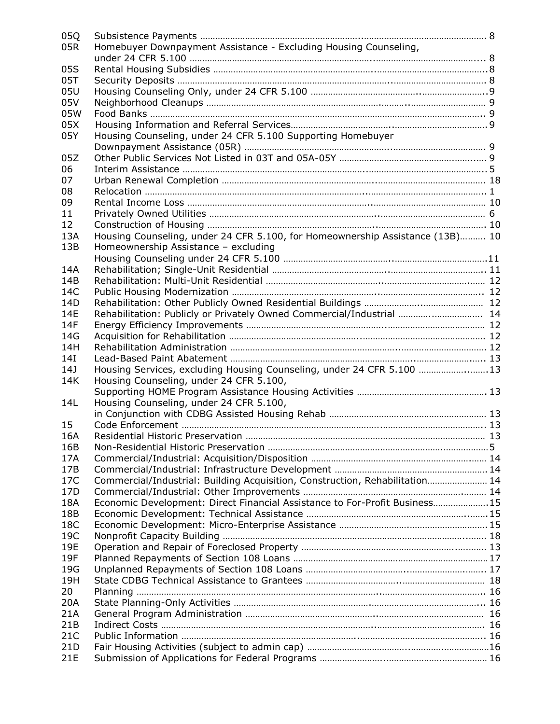| 05Q             |                                                                               |  |
|-----------------|-------------------------------------------------------------------------------|--|
| 05R             | Homebuyer Downpayment Assistance - Excluding Housing Counseling,              |  |
|                 |                                                                               |  |
| 05S             |                                                                               |  |
| 05T             |                                                                               |  |
| 05U             |                                                                               |  |
| 05V             |                                                                               |  |
| 05W             |                                                                               |  |
| 05X             |                                                                               |  |
| 05Y             | Housing Counseling, under 24 CFR 5.100 Supporting Homebuyer                   |  |
|                 |                                                                               |  |
| 05Z             |                                                                               |  |
| 06              |                                                                               |  |
| 07              |                                                                               |  |
| 08              |                                                                               |  |
| 09              |                                                                               |  |
| 11              |                                                                               |  |
| 12              |                                                                               |  |
| 13A             | Housing Counseling, under 24 CFR 5.100, for Homeownership Assistance (13B) 10 |  |
| 13B             | Homeownership Assistance - excluding                                          |  |
|                 |                                                                               |  |
| 14A             |                                                                               |  |
| 14B             |                                                                               |  |
| 14C             |                                                                               |  |
| 14D             |                                                                               |  |
| 14E             | Rehabilitation: Publicly or Privately Owned Commercial/Industrial  14         |  |
| 14F             |                                                                               |  |
| 14G             |                                                                               |  |
| 14H             |                                                                               |  |
| 14I             |                                                                               |  |
| 14J             | Housing Services, excluding Housing Counseling, under 24 CFR 5.100 13         |  |
| 14K             |                                                                               |  |
|                 | Housing Counseling, under 24 CFR 5.100,                                       |  |
| 14L             | Housing Counseling, under 24 CFR 5.100,                                       |  |
|                 |                                                                               |  |
| 15              |                                                                               |  |
| 16A             |                                                                               |  |
| 16B             |                                                                               |  |
| 17A             |                                                                               |  |
| 17B             |                                                                               |  |
| 17C             |                                                                               |  |
| 17D             | Commercial/Industrial: Building Acquisition, Construction, Rehabilitation 14  |  |
| 18A             |                                                                               |  |
|                 | Economic Development: Direct Financial Assistance to For-Profit Business15    |  |
| 18B             |                                                                               |  |
| 18C             |                                                                               |  |
| 19C             |                                                                               |  |
| 19E             |                                                                               |  |
| 19F             |                                                                               |  |
| 19G             |                                                                               |  |
| 19H             |                                                                               |  |
| 20              |                                                                               |  |
| 20A             |                                                                               |  |
| 21A             |                                                                               |  |
| 21B             |                                                                               |  |
| 21C             |                                                                               |  |
| 21 <sub>D</sub> |                                                                               |  |
| 21E             |                                                                               |  |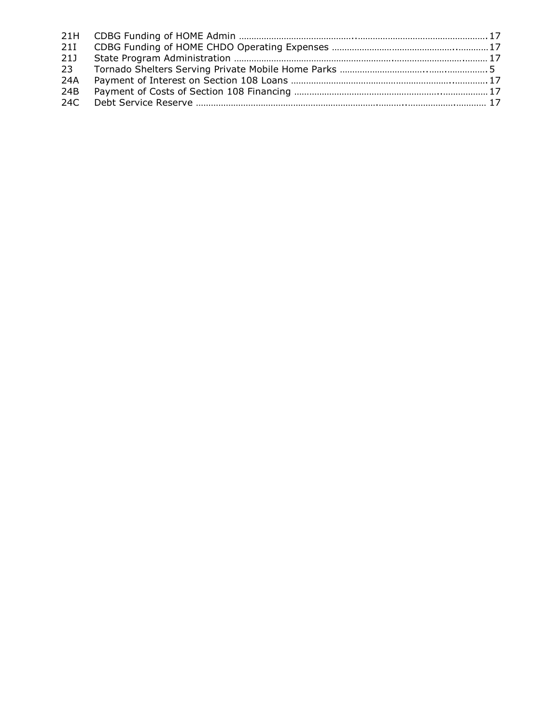| <b>21I</b>      |  |
|-----------------|--|
| 21J             |  |
| 23 <sup>2</sup> |  |
| 24A             |  |
| 24B             |  |
|                 |  |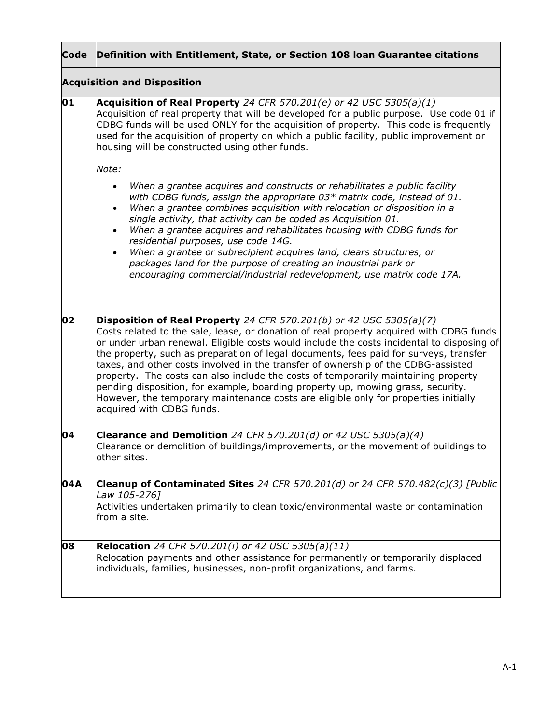|     | Code Definition with Entitlement, State, or Section 108 Ioan Guarantee citations                                                                                                                                                                                                                                                                                                                                                                                                                                                                                                                                                                                            |
|-----|-----------------------------------------------------------------------------------------------------------------------------------------------------------------------------------------------------------------------------------------------------------------------------------------------------------------------------------------------------------------------------------------------------------------------------------------------------------------------------------------------------------------------------------------------------------------------------------------------------------------------------------------------------------------------------|
|     | <b>Acquisition and Disposition</b>                                                                                                                                                                                                                                                                                                                                                                                                                                                                                                                                                                                                                                          |
| 01  | Acquisition of Real Property 24 CFR 570.201(e) or 42 USC 5305(a)(1)<br>Acquisition of real property that will be developed for a public purpose. Use code 01 if<br>CDBG funds will be used ONLY for the acquisition of property. This code is frequently<br>used for the acquisition of property on which a public facility, public improvement or<br>housing will be constructed using other funds.                                                                                                                                                                                                                                                                        |
|     | Note:                                                                                                                                                                                                                                                                                                                                                                                                                                                                                                                                                                                                                                                                       |
|     | When a grantee acquires and constructs or rehabilitates a public facility<br>$\bullet$<br>with CDBG funds, assign the appropriate 03* matrix code, instead of 01.<br>When a grantee combines acquisition with relocation or disposition in a<br>$\bullet$<br>single activity, that activity can be coded as Acquisition 01.<br>When a grantee acquires and rehabilitates housing with CDBG funds for<br>$\bullet$<br>residential purposes, use code 14G.<br>When a grantee or subrecipient acquires land, clears structures, or<br>packages land for the purpose of creating an industrial park or<br>encouraging commercial/industrial redevelopment, use matrix code 17A. |
| 02  | Disposition of Real Property 24 CFR 570.201(b) or 42 USC 5305(a)(7)                                                                                                                                                                                                                                                                                                                                                                                                                                                                                                                                                                                                         |
|     | Costs related to the sale, lease, or donation of real property acquired with CDBG funds<br>or under urban renewal. Eligible costs would include the costs incidental to disposing of<br>the property, such as preparation of legal documents, fees paid for surveys, transfer<br>taxes, and other costs involved in the transfer of ownership of the CDBG-assisted<br>property. The costs can also include the costs of temporarily maintaining property<br>pending disposition, for example, boarding property up, mowing grass, security.<br>However, the temporary maintenance costs are eligible only for properties initially<br>acquired with CDBG funds.             |
| 04  | Clearance and Demolition 24 CFR 570.201(d) or 42 USC 5305(a)(4)<br>Clearance or demolition of buildings/improvements, or the movement of buildings to<br>other sites.                                                                                                                                                                                                                                                                                                                                                                                                                                                                                                       |
| 04A | Cleanup of Contaminated Sites 24 CFR 570.201(d) or 24 CFR 570.482(c)(3) [Public<br>Law 105-276]<br>Activities undertaken primarily to clean toxic/environmental waste or contamination<br>from a site.                                                                                                                                                                                                                                                                                                                                                                                                                                                                      |
| 08  | <b>Relocation</b> 24 CFR 570.201(i) or 42 USC 5305(a)(11)<br>Relocation payments and other assistance for permanently or temporarily displaced<br>individuals, families, businesses, non-profit organizations, and farms.                                                                                                                                                                                                                                                                                                                                                                                                                                                   |

 $\mathbf{r}$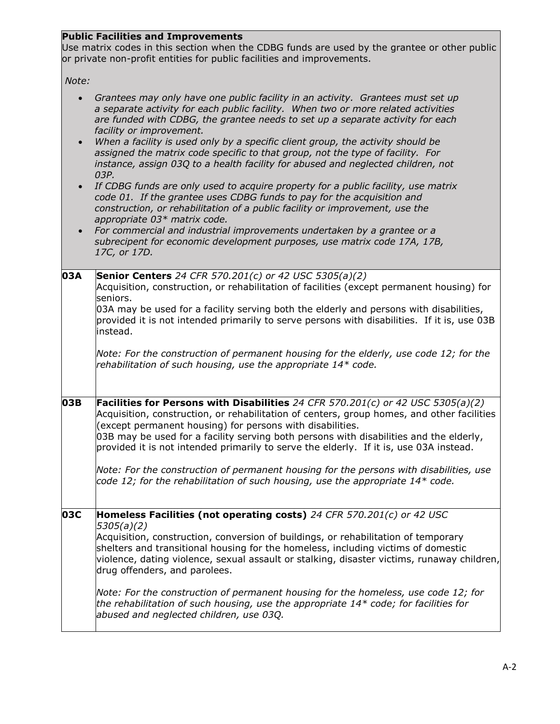## **Public Facilities and Improvements**

Use matrix codes in this section when the CDBG funds are used by the grantee or other public or private non-profit entities for public facilities and improvements.

*Note:* 

| $\bullet$ | Grantees may only have one public facility in an activity. Grantees must set up<br>a separate activity for each public facility. When two or more related activities<br>are funded with CDBG, the grantee needs to set up a separate activity for each<br>facility or improvement.<br>When a facility is used only by a specific client group, the activity should be<br>assigned the matrix code specific to that group, not the type of facility. For<br>instance, assign 03Q to a health facility for abused and neglected children, not<br>03P.<br>If CDBG funds are only used to acquire property for a public facility, use matrix<br>code 01. If the grantee uses CDBG funds to pay for the acquisition and<br>construction, or rehabilitation of a public facility or improvement, use the<br>appropriate 03* matrix code.<br>For commercial and industrial improvements undertaken by a grantee or a<br>subrecipent for economic development purposes, use matrix code 17A, 17B,<br>17C, or 17D. |
|-----------|-----------------------------------------------------------------------------------------------------------------------------------------------------------------------------------------------------------------------------------------------------------------------------------------------------------------------------------------------------------------------------------------------------------------------------------------------------------------------------------------------------------------------------------------------------------------------------------------------------------------------------------------------------------------------------------------------------------------------------------------------------------------------------------------------------------------------------------------------------------------------------------------------------------------------------------------------------------------------------------------------------------|
| 03A       | <b>Senior Centers</b> 24 CFR 570.201(c) or 42 USC 5305(a)(2)<br>Acquisition, construction, or rehabilitation of facilities (except permanent housing) for<br>seniors.<br>03A may be used for a facility serving both the elderly and persons with disabilities,<br>provided it is not intended primarily to serve persons with disabilities. If it is, use 03B<br>instead.<br>Note: For the construction of permanent housing for the elderly, use code 12; for the<br>rehabilitation of such housing, use the appropriate 14* code.                                                                                                                                                                                                                                                                                                                                                                                                                                                                      |
| 03B       | Facilities for Persons with Disabilities 24 CFR 570.201(c) or 42 USC 5305(a)(2)<br>Acquisition, construction, or rehabilitation of centers, group homes, and other facilities<br>(except permanent housing) for persons with disabilities.<br>03B may be used for a facility serving both persons with disabilities and the elderly,<br>provided it is not intended primarily to serve the elderly. If it is, use 03A instead.<br>Note: For the construction of permanent housing for the persons with disabilities, use<br>code 12; for the rehabilitation of such housing, use the appropriate $14*$ code.                                                                                                                                                                                                                                                                                                                                                                                              |
| 03C       | Homeless Facilities (not operating costs) 24 CFR 570.201(c) or 42 USC<br>5305(a)(2)<br>Acquisition, construction, conversion of buildings, or rehabilitation of temporary<br>shelters and transitional housing for the homeless, including victims of domestic<br>violence, dating violence, sexual assault or stalking, disaster victims, runaway children,<br>drug offenders, and parolees.<br>Note: For the construction of permanent housing for the homeless, use code 12; for<br>the rehabilitation of such housing, use the appropriate $14*$ code; for facilities for<br>abused and neglected children, use 03Q.                                                                                                                                                                                                                                                                                                                                                                                  |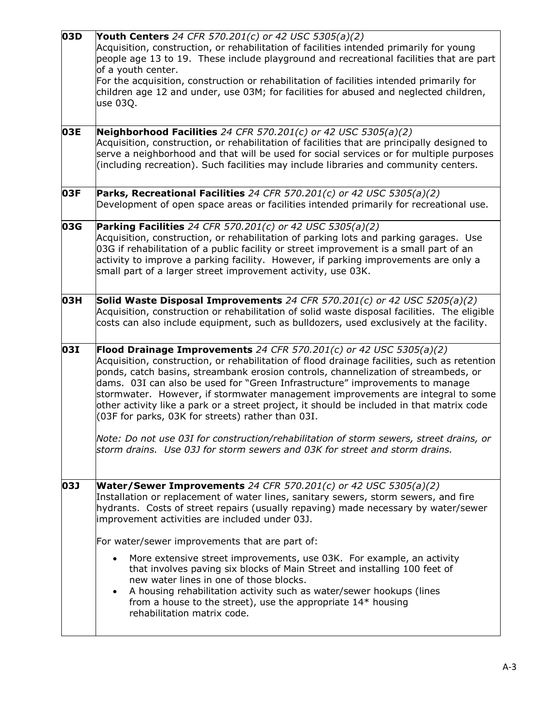| $\overline{0}$ 3D | <b>Youth Centers</b> 24 CFR 570.201(c) or 42 USC 5305(a)(2)<br>Acquisition, construction, or rehabilitation of facilities intended primarily for young<br>people age 13 to 19. These include playground and recreational facilities that are part<br>of a youth center.<br>For the acquisition, construction or rehabilitation of facilities intended primarily for<br>children age 12 and under, use 03M; for facilities for abused and neglected children,<br>use 03Q.                                                                                                      |
|-------------------|-------------------------------------------------------------------------------------------------------------------------------------------------------------------------------------------------------------------------------------------------------------------------------------------------------------------------------------------------------------------------------------------------------------------------------------------------------------------------------------------------------------------------------------------------------------------------------|
| 03E               | Neighborhood Facilities 24 CFR 570.201(c) or 42 USC 5305(a)(2)<br>Acquisition, construction, or rehabilitation of facilities that are principally designed to<br>serve a neighborhood and that will be used for social services or for multiple purposes<br>(including recreation). Such facilities may include libraries and community centers.                                                                                                                                                                                                                              |
| 03F               | Parks, Recreational Facilities 24 CFR 570.201(c) or 42 USC 5305(a)(2)<br>Development of open space areas or facilities intended primarily for recreational use.                                                                                                                                                                                                                                                                                                                                                                                                               |
| 03G               | <b>Parking Facilities</b> 24 CFR 570.201(c) or 42 USC 5305(a)(2)<br>Acquisition, construction, or rehabilitation of parking lots and parking garages. Use<br>03G if rehabilitation of a public facility or street improvement is a small part of an<br>activity to improve a parking facility. However, if parking improvements are only a<br>small part of a larger street improvement activity, use 03K.                                                                                                                                                                    |
| 03H               | <b>Solid Waste Disposal Improvements</b> 24 CFR 570.201(c) or 42 USC 5205(a)(2)<br>Acquisition, construction or rehabilitation of solid waste disposal facilities. The eligible<br>costs can also include equipment, such as bulldozers, used exclusively at the facility.                                                                                                                                                                                                                                                                                                    |
| 031               | Flood Drainage Improvements 24 CFR 570.201(c) or 42 USC 5305(a)(2)<br>Acquisition, construction, or rehabilitation of flood drainage facilities, such as retention<br>ponds, catch basins, streambank erosion controls, channelization of streambeds, or<br>dams. 03I can also be used for "Green Infrastructure" improvements to manage<br>stormwater. However, if stormwater management improvements are integral to some<br>other activity like a park or a street project, it should be included in that matrix code<br>(03F for parks, 03K for streets) rather than 03I. |
|                   | Note: Do not use 03I for construction/rehabilitation of storm sewers, street drains, or<br>storm drains. Use 03J for storm sewers and 03K for street and storm drains.                                                                                                                                                                                                                                                                                                                                                                                                        |
| 03J               | <b>Water/Sewer Improvements</b> 24 CFR 570.201(c) or 42 USC 5305(a)(2)<br>Installation or replacement of water lines, sanitary sewers, storm sewers, and fire<br>hydrants. Costs of street repairs (usually repaving) made necessary by water/sewer<br>improvement activities are included under 03J.                                                                                                                                                                                                                                                                         |
|                   | For water/sewer improvements that are part of:<br>More extensive street improvements, use 03K. For example, an activity<br>$\bullet$<br>that involves paving six blocks of Main Street and installing 100 feet of<br>new water lines in one of those blocks.<br>A housing rehabilitation activity such as water/sewer hookups (lines<br>$\bullet$<br>from a house to the street), use the appropriate $14*$ housing<br>rehabilitation matrix code.                                                                                                                            |
|                   |                                                                                                                                                                                                                                                                                                                                                                                                                                                                                                                                                                               |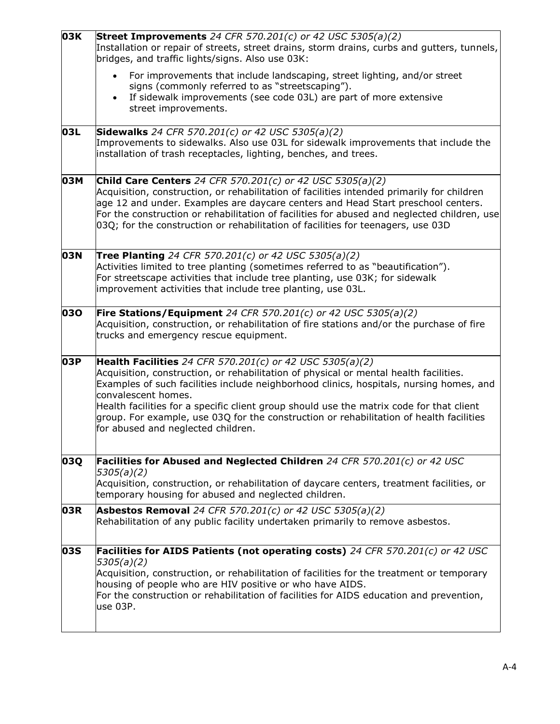| 03K | <b>Street Improvements</b> 24 CFR 570.201(c) or 42 USC 5305(a)(2)<br>Installation or repair of streets, street drains, storm drains, curbs and gutters, tunnels,<br>bridges, and traffic lights/signs. Also use 03K:                                                                                                                                                                                                                                                                                    |
|-----|---------------------------------------------------------------------------------------------------------------------------------------------------------------------------------------------------------------------------------------------------------------------------------------------------------------------------------------------------------------------------------------------------------------------------------------------------------------------------------------------------------|
|     | For improvements that include landscaping, street lighting, and/or street<br>$\bullet$<br>signs (commonly referred to as "streetscaping").<br>If sidewalk improvements (see code 03L) are part of more extensive<br>$\bullet$<br>street improvements.                                                                                                                                                                                                                                                   |
| 03L | <b>Sidewalks</b> 24 CFR 570.201(c) or 42 USC 5305(a)(2)<br>Improvements to sidewalks. Also use 03L for sidewalk improvements that include the<br>installation of trash receptacles, lighting, benches, and trees.                                                                                                                                                                                                                                                                                       |
| 03M | <b>Child Care Centers</b> 24 CFR 570.201(c) or 42 USC 5305(a)(2)<br>Acquisition, construction, or rehabilitation of facilities intended primarily for children<br>age 12 and under. Examples are daycare centers and Head Start preschool centers.<br>For the construction or rehabilitation of facilities for abused and neglected children, use<br>03Q; for the construction or rehabilitation of facilities for teenagers, use 03D                                                                   |
| 03N | <b>Tree Planting</b> 24 CFR 570.201(c) or 42 USC 5305(a)(2)<br>Activities limited to tree planting (sometimes referred to as "beautification").<br>For streetscape activities that include tree planting, use 03K; for sidewalk<br>improvement activities that include tree planting, use 03L.                                                                                                                                                                                                          |
| 030 | <b>Fire Stations/Equipment</b> 24 CFR 570.201(c) or 42 USC 5305(a)(2)<br>Acquisition, construction, or rehabilitation of fire stations and/or the purchase of fire<br>trucks and emergency rescue equipment.                                                                                                                                                                                                                                                                                            |
| 03P | <b>Health Facilities</b> 24 CFR 570.201(c) or 42 USC 5305(a)(2)<br>Acquisition, construction, or rehabilitation of physical or mental health facilities.<br>Examples of such facilities include neighborhood clinics, hospitals, nursing homes, and<br>convalescent homes.<br>Health facilities for a specific client group should use the matrix code for that client<br>group. For example, use 03Q for the construction or rehabilitation of health facilities<br>for abused and neglected children. |
| 03Q | Facilities for Abused and Neglected Children 24 CFR 570.201(c) or 42 USC<br>5305(a)(2)<br>Acquisition, construction, or rehabilitation of daycare centers, treatment facilities, or<br>temporary housing for abused and neglected children.                                                                                                                                                                                                                                                             |
| 03R | <b>Asbestos Removal</b> 24 CFR 570.201(c) or 42 USC 5305(a)(2)<br>Rehabilitation of any public facility undertaken primarily to remove asbestos.                                                                                                                                                                                                                                                                                                                                                        |
| 03S | <b>Facilities for AIDS Patients (not operating costs)</b> 24 CFR 570.201(c) or 42 USC<br>5305(a)(2)<br>Acquisition, construction, or rehabilitation of facilities for the treatment or temporary<br>housing of people who are HIV positive or who have AIDS.<br>For the construction or rehabilitation of facilities for AIDS education and prevention,<br>use 03P.                                                                                                                                     |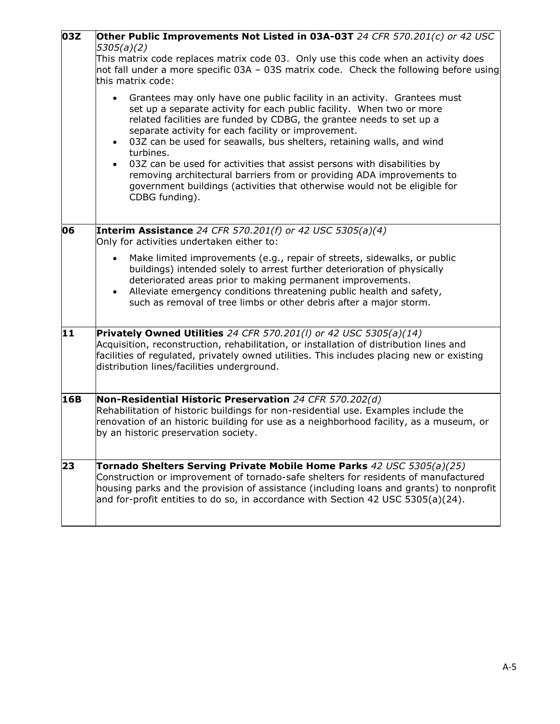| 03Z | Other Public Improvements Not Listed in 03A-03T 24 CFR 570.201(c) or 42 USC<br>5305(a)(2)                                                                                                                                                                                                                                                                                                                                                                                                                                                                                                                                                                        |
|-----|------------------------------------------------------------------------------------------------------------------------------------------------------------------------------------------------------------------------------------------------------------------------------------------------------------------------------------------------------------------------------------------------------------------------------------------------------------------------------------------------------------------------------------------------------------------------------------------------------------------------------------------------------------------|
|     | This matrix code replaces matrix code 03. Only use this code when an activity does<br>not fall under a more specific 03A - 03S matrix code. Check the following before using<br>this matrix code:                                                                                                                                                                                                                                                                                                                                                                                                                                                                |
|     | Grantees may only have one public facility in an activity. Grantees must<br>$\bullet$<br>set up a separate activity for each public facility. When two or more<br>related facilities are funded by CDBG, the grantee needs to set up a<br>separate activity for each facility or improvement.<br>03Z can be used for seawalls, bus shelters, retaining walls, and wind<br>$\bullet$<br>turbines.<br>03Z can be used for activities that assist persons with disabilities by<br>$\bullet$<br>removing architectural barriers from or providing ADA improvements to<br>government buildings (activities that otherwise would not be eligible for<br>CDBG funding). |
| 06  | <b>Interim Assistance</b> 24 CFR 570.201(f) or 42 USC 5305(a)(4)<br>Only for activities undertaken either to:                                                                                                                                                                                                                                                                                                                                                                                                                                                                                                                                                    |
|     | Make limited improvements (e.g., repair of streets, sidewalks, or public<br>$\bullet$<br>buildings) intended solely to arrest further deterioration of physically<br>deteriorated areas prior to making permanent improvements.<br>Alleviate emergency conditions threatening public health and safety,<br>$\bullet$<br>such as removal of tree limbs or other debris after a major storm.                                                                                                                                                                                                                                                                       |
| 11  | <b>Privately Owned Utilities</b> 24 CFR 570.201(I) or 42 USC 5305(a)(14)<br>Acquisition, reconstruction, rehabilitation, or installation of distribution lines and<br>facilities of regulated, privately owned utilities. This includes placing new or existing<br>distribution lines/facilities underground.                                                                                                                                                                                                                                                                                                                                                    |
| 16B | Non-Residential Historic Preservation 24 CFR 570.202(d)<br>Rehabilitation of historic buildings for non-residential use. Examples include the<br>renovation of an historic building for use as a neighborhood facility, as a museum, or<br>by an historic preservation society.                                                                                                                                                                                                                                                                                                                                                                                  |
| 23  | Tornado Shelters Serving Private Mobile Home Parks 42 USC 5305(a)(25)<br>Construction or improvement of tornado-safe shelters for residents of manufactured<br>housing parks and the provision of assistance (including loans and grants) to nonprofit<br>and for-profit entities to do so, in accordance with Section 42 USC 5305(a)(24).                                                                                                                                                                                                                                                                                                                       |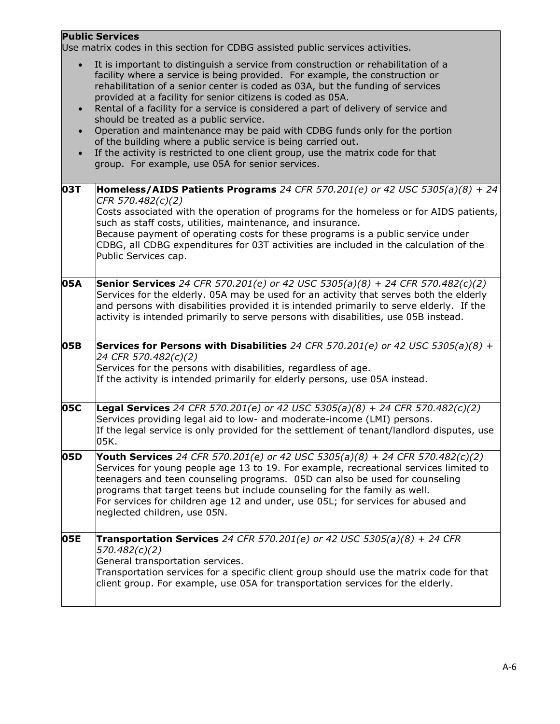## **Public Services**

Use matrix codes in this section for CDBG assisted public services activities.

| $\bullet$<br>$\bullet$<br>$\bullet$<br>$\bullet$ | It is important to distinguish a service from construction or rehabilitation of a<br>facility where a service is being provided. For example, the construction or<br>rehabilitation of a senior center is coded as 03A, but the funding of services<br>provided at a facility for senior citizens is coded as 05A.<br>Rental of a facility for a service is considered a part of delivery of service and<br>should be treated as a public service.<br>Operation and maintenance may be paid with CDBG funds only for the portion<br>of the building where a public service is being carried out.<br>If the activity is restricted to one client group, use the matrix code for that<br>group. For example, use 05A for senior services. |
|--------------------------------------------------|-----------------------------------------------------------------------------------------------------------------------------------------------------------------------------------------------------------------------------------------------------------------------------------------------------------------------------------------------------------------------------------------------------------------------------------------------------------------------------------------------------------------------------------------------------------------------------------------------------------------------------------------------------------------------------------------------------------------------------------------|
| 03T                                              | <b>Homeless/AIDS Patients Programs</b> 24 CFR 570.201(e) or 42 USC 5305(a)(8) + 24<br>CFR 570.482(c)(2)<br>Costs associated with the operation of programs for the homeless or for AIDS patients,<br>such as staff costs, utilities, maintenance, and insurance.<br>Because payment of operating costs for these programs is a public service under<br>CDBG, all CDBG expenditures for 03T activities are included in the calculation of the<br>Public Services cap.                                                                                                                                                                                                                                                                    |
| 05A                                              | <b>Senior Services</b> 24 CFR 570.201(e) or 42 USC 5305(a)(8) + 24 CFR 570.482(c)(2)<br>Services for the elderly. 05A may be used for an activity that serves both the elderly<br>and persons with disabilities provided it is intended primarily to serve elderly. If the<br>activity is intended primarily to serve persons with disabilities, use 05B instead.                                                                                                                                                                                                                                                                                                                                                                       |
| 05B                                              | <b>Services for Persons with Disabilities</b> 24 CFR 570.201(e) or 42 USC 5305(a)(8) +<br>24 CFR 570.482(c)(2)<br>Services for the persons with disabilities, regardless of age.<br>If the activity is intended primarily for elderly persons, use 05A instead.                                                                                                                                                                                                                                                                                                                                                                                                                                                                         |
| 05C                                              | <b>Legal Services</b> 24 CFR 570.201(e) or 42 USC 5305(a)(8) + 24 CFR 570.482(c)(2)<br>Services providing legal aid to low- and moderate-income (LMI) persons.<br>If the legal service is only provided for the settlement of tenant/landlord disputes, use<br>05K.                                                                                                                                                                                                                                                                                                                                                                                                                                                                     |
| 05D                                              | Youth Services 24 CFR 570.201(e) or 42 USC 5305(a)(8) + 24 CFR 570.482(c)(2)<br>Services for young people age 13 to 19. For example, recreational services limited to<br>teenagers and teen counseling programs. 05D can also be used for counseling<br>programs that target teens but include counseling for the family as well.<br>For services for children age 12 and under, use 05L; for services for abused and<br>neglected children, use 05N.                                                                                                                                                                                                                                                                                   |
| 05E                                              | <b>Transportation Services</b> 24 CFR 570.201(e) or 42 USC 5305(a)(8) + 24 CFR<br>570.482(c)(2)<br>General transportation services.<br>Transportation services for a specific client group should use the matrix code for that<br>client group. For example, use 05A for transportation services for the elderly.                                                                                                                                                                                                                                                                                                                                                                                                                       |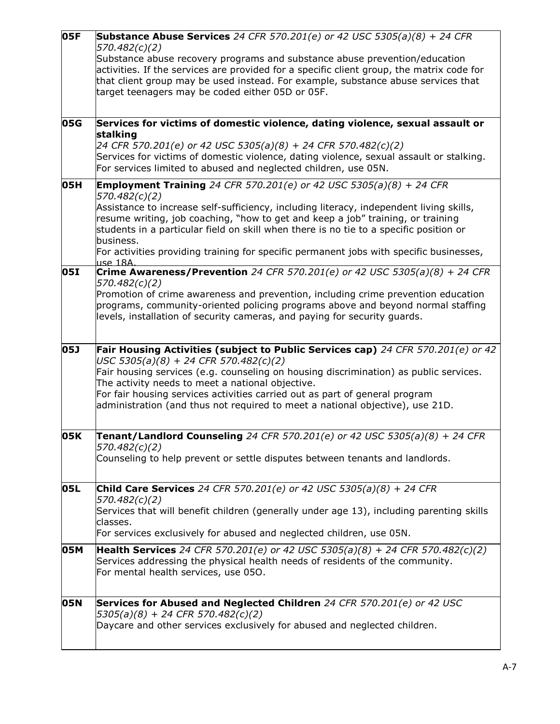| 05F        | <b>Substance Abuse Services</b> 24 CFR 570.201(e) or 42 USC 5305(a)(8) + 24 CFR<br>570.482(c)(2)<br>Substance abuse recovery programs and substance abuse prevention/education                                                                                                                     |
|------------|----------------------------------------------------------------------------------------------------------------------------------------------------------------------------------------------------------------------------------------------------------------------------------------------------|
|            | activities. If the services are provided for a specific client group, the matrix code for<br>that client group may be used instead. For example, substance abuse services that<br>target teenagers may be coded either 05D or 05F.                                                                 |
|            |                                                                                                                                                                                                                                                                                                    |
| 05G        | Services for victims of domestic violence, dating violence, sexual assault or                                                                                                                                                                                                                      |
|            | stalking<br>24 CFR 570.201(e) or 42 USC 5305(a)(8) + 24 CFR 570.482(c)(2)<br>Services for victims of domestic violence, dating violence, sexual assault or stalking.<br>For services limited to abused and neglected children, use 05N.                                                            |
| 05H        | <b>Employment Training</b> 24 CFR 570.201(e) or 42 USC 5305(a)(8) + 24 CFR                                                                                                                                                                                                                         |
|            | 570.482(c)(2)<br>Assistance to increase self-sufficiency, including literacy, independent living skills,<br>resume writing, job coaching, "how to get and keep a job" training, or training<br>students in a particular field on skill when there is no tie to a specific position or<br>business. |
|            | For activities providing training for specific permanent jobs with specific businesses,                                                                                                                                                                                                            |
| <b>05I</b> | <u>use 18A.</u><br><b>Crime Awareness/Prevention</b> 24 CFR 570.201(e) or 42 USC 5305(a)(8) + 24 CFR<br>570.482(c)(2)                                                                                                                                                                              |
|            | Promotion of crime awareness and prevention, including crime prevention education<br>programs, community-oriented policing programs above and beyond normal staffing<br>levels, installation of security cameras, and paying for security guards.                                                  |
|            |                                                                                                                                                                                                                                                                                                    |
| 05J        | Fair Housing Activities (subject to Public Services cap) 24 CFR 570.201(e) or 42<br>USC 5305(a)(8) + 24 CFR 570.482(c)(2)<br>Fair housing services (e.g. counseling on housing discrimination) as public services.                                                                                 |
|            | The activity needs to meet a national objective.                                                                                                                                                                                                                                                   |
|            | For fair housing services activities carried out as part of general program<br>administration (and thus not required to meet a national objective), use 21D.                                                                                                                                       |
| 05K        | <b>Tenant/Landlord Counseling</b> 24 CFR 570.201(e) or 42 USC 5305(a)(8) + 24 CFR                                                                                                                                                                                                                  |
|            | 570.482(c)(2)<br>Counseling to help prevent or settle disputes between tenants and landlords.                                                                                                                                                                                                      |
| 05L        | Child Care Services 24 CFR 570.201(e) or 42 USC 5305(a)(8) + 24 CFR                                                                                                                                                                                                                                |
|            | 570.482(c)(2)<br>Services that will benefit children (generally under age 13), including parenting skills<br>classes.                                                                                                                                                                              |
|            | For services exclusively for abused and neglected children, use 05N.                                                                                                                                                                                                                               |
| 05M        | <b>Health Services</b> 24 CFR 570.201(e) or 42 USC 5305(a)(8) + 24 CFR 570.482(c)(2)<br>Services addressing the physical health needs of residents of the community.<br>For mental health services, use 050.                                                                                       |
| 05N        | Services for Abused and Neglected Children 24 CFR 570.201(e) or 42 USC                                                                                                                                                                                                                             |
|            | $5305(a)(8) + 24$ CFR 570.482(c)(2)                                                                                                                                                                                                                                                                |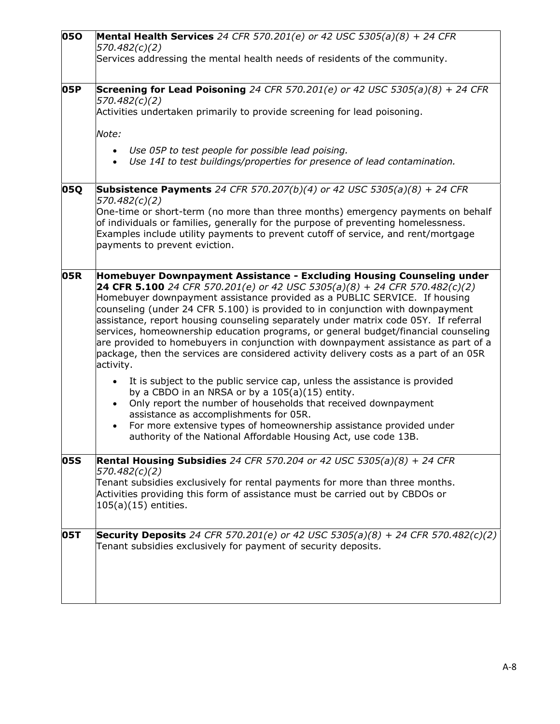| 050        | <b>Mental Health Services</b> 24 CFR 570.201(e) or 42 USC 5305(a)(8) $\overline{+}$ 24 CFR<br>570.482(c)(2)<br>Services addressing the mental health needs of residents of the community.                                                                                                                                                                                                                                                                                                                                                                                                                                                                                                                                                                                                                                                                                                                                                                                                                                                                                                                    |
|------------|--------------------------------------------------------------------------------------------------------------------------------------------------------------------------------------------------------------------------------------------------------------------------------------------------------------------------------------------------------------------------------------------------------------------------------------------------------------------------------------------------------------------------------------------------------------------------------------------------------------------------------------------------------------------------------------------------------------------------------------------------------------------------------------------------------------------------------------------------------------------------------------------------------------------------------------------------------------------------------------------------------------------------------------------------------------------------------------------------------------|
| 05P        | <b>Screening for Lead Poisoning</b> 24 CFR 570.201(e) or 42 USC 5305(a)(8) + 24 CFR<br>570.482(c)(2)<br>Activities undertaken primarily to provide screening for lead poisoning.<br>Note:                                                                                                                                                                                                                                                                                                                                                                                                                                                                                                                                                                                                                                                                                                                                                                                                                                                                                                                    |
|            | Use 05P to test people for possible lead poising.<br>Use 14I to test buildings/properties for presence of lead contamination.                                                                                                                                                                                                                                                                                                                                                                                                                                                                                                                                                                                                                                                                                                                                                                                                                                                                                                                                                                                |
| 05Q        | Subsistence Payments 24 CFR 570.207(b)(4) or 42 USC 5305(a)(8) + 24 CFR<br>570.482(c)(2)<br>One-time or short-term (no more than three months) emergency payments on behalf<br>of individuals or families, generally for the purpose of preventing homelessness.<br>Examples include utility payments to prevent cutoff of service, and rent/mortgage<br>payments to prevent eviction.                                                                                                                                                                                                                                                                                                                                                                                                                                                                                                                                                                                                                                                                                                                       |
| 05R        | Homebuyer Downpayment Assistance - Excluding Housing Counseling under<br>24 CFR 5.100 24 CFR 570.201(e) or 42 USC 5305(a)(8) + 24 CFR 570.482(c)(2)<br>Homebuyer downpayment assistance provided as a PUBLIC SERVICE. If housing<br>counseling (under 24 CFR 5.100) is provided to in conjunction with downpayment<br>assistance, report housing counseling separately under matrix code 05Y. If referral<br>services, homeownership education programs, or general budget/financial counseling<br>are provided to homebuyers in conjunction with downpayment assistance as part of a<br>package, then the services are considered activity delivery costs as a part of an 05R<br>activity.<br>It is subject to the public service cap, unless the assistance is provided<br>by a CBDO in an NRSA or by a 105(a)(15) entity.<br>Only report the number of households that received downpayment<br>$\bullet$<br>assistance as accomplishments for 05R.<br>For more extensive types of homeownership assistance provided under<br>$\bullet$<br>authority of the National Affordable Housing Act, use code 13B. |
| 05S        | <b>Rental Housing Subsidies</b> 24 CFR 570.204 or 42 USC 5305(a)(8) + 24 CFR<br>570.482(c)(2)<br>Tenant subsidies exclusively for rental payments for more than three months.<br>Activities providing this form of assistance must be carried out by CBDOs or<br>$105(a)(15)$ entities.                                                                                                                                                                                                                                                                                                                                                                                                                                                                                                                                                                                                                                                                                                                                                                                                                      |
| <b>05T</b> | <b>Security Deposits</b> 24 CFR 570.201(e) or 42 USC 5305(a)(8) + 24 CFR 570.482(c)(2)<br>Tenant subsidies exclusively for payment of security deposits.                                                                                                                                                                                                                                                                                                                                                                                                                                                                                                                                                                                                                                                                                                                                                                                                                                                                                                                                                     |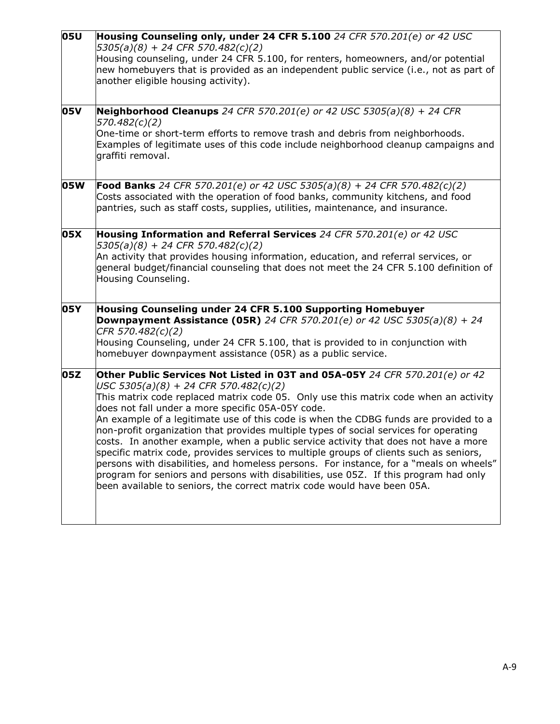| 05U | Housing Counseling only, under 24 CFR 5.100 24 CFR 570.201(e) or 42 USC<br>$5305(a)(8) + 24$ CFR $570.482(c)(2)$<br>Housing counseling, under 24 CFR 5.100, for renters, homeowners, and/or potential<br>new homebuyers that is provided as an independent public service (i.e., not as part of<br>another eligible housing activity).                                                                                                                                                                                                                                                                                                                                                                                                                                                                                                                                                             |
|-----|----------------------------------------------------------------------------------------------------------------------------------------------------------------------------------------------------------------------------------------------------------------------------------------------------------------------------------------------------------------------------------------------------------------------------------------------------------------------------------------------------------------------------------------------------------------------------------------------------------------------------------------------------------------------------------------------------------------------------------------------------------------------------------------------------------------------------------------------------------------------------------------------------|
| 05V | Neighborhood Cleanups 24 CFR 570.201(e) or 42 USC 5305(a)(8) + 24 CFR<br>570.482(c)(2)<br>One-time or short-term efforts to remove trash and debris from neighborhoods.<br>Examples of legitimate uses of this code include neighborhood cleanup campaigns and<br>graffiti removal.                                                                                                                                                                                                                                                                                                                                                                                                                                                                                                                                                                                                                |
| 05W | <b>Food Banks</b> 24 CFR 570.201(e) or 42 USC 5305(a)(8) + 24 CFR 570.482(c)(2)<br>Costs associated with the operation of food banks, community kitchens, and food<br>pantries, such as staff costs, supplies, utilities, maintenance, and insurance.                                                                                                                                                                                                                                                                                                                                                                                                                                                                                                                                                                                                                                              |
| 05X | Housing Information and Referral Services 24 CFR 570.201(e) or 42 USC<br>$5305(a)(8) + 24$ CFR $570.482(c)(2)$<br>An activity that provides housing information, education, and referral services, or<br>general budget/financial counseling that does not meet the 24 CFR 5.100 definition of<br>Housing Counseling.                                                                                                                                                                                                                                                                                                                                                                                                                                                                                                                                                                              |
| 05Y | Housing Counseling under 24 CFR 5.100 Supporting Homebuyer<br><b>Downpayment Assistance (05R)</b> 24 CFR 570.201(e) or 42 USC 5305(a)(8) + 24<br>CFR 570.482(c)(2)<br>Housing Counseling, under 24 CFR 5.100, that is provided to in conjunction with<br>homebuyer downpayment assistance (05R) as a public service.                                                                                                                                                                                                                                                                                                                                                                                                                                                                                                                                                                               |
| 05Z | Other Public Services Not Listed in 03T and 05A-05Y 24 CFR 570.201(e) or 42<br>$USC 5305(a)(8) + 24 CFR 570.482(c)(2)$<br>This matrix code replaced matrix code 05. Only use this matrix code when an activity<br>does not fall under a more specific 05A-05Y code.<br>An example of a legitimate use of this code is when the CDBG funds are provided to a<br>non-profit organization that provides multiple types of social services for operating<br>costs. In another example, when a public service activity that does not have a more<br>specific matrix code, provides services to multiple groups of clients such as seniors,<br>persons with disabilities, and homeless persons. For instance, for a "meals on wheels"<br>program for seniors and persons with disabilities, use 05Z. If this program had only<br>been available to seniors, the correct matrix code would have been 05A. |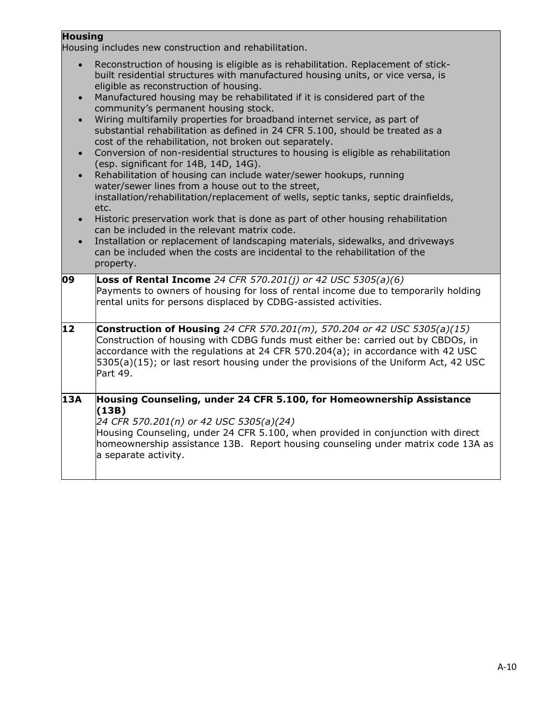## **Housing**

Housing includes new construction and rehabilitation.

|                                                                            | roasing includes new construction and renabilitation.                                                                                                                                                                                                                                                                                                                                                                                                                                                                                                                                                                                                                                                                                                                                                                                                                                                                                                                                                                                                                                                                                                                                                                              |
|----------------------------------------------------------------------------|------------------------------------------------------------------------------------------------------------------------------------------------------------------------------------------------------------------------------------------------------------------------------------------------------------------------------------------------------------------------------------------------------------------------------------------------------------------------------------------------------------------------------------------------------------------------------------------------------------------------------------------------------------------------------------------------------------------------------------------------------------------------------------------------------------------------------------------------------------------------------------------------------------------------------------------------------------------------------------------------------------------------------------------------------------------------------------------------------------------------------------------------------------------------------------------------------------------------------------|
| $\bullet$<br>$\bullet$<br>$\bullet$<br>$\bullet$<br>$\bullet$<br>$\bullet$ | Reconstruction of housing is eligible as is rehabilitation. Replacement of stick-<br>built residential structures with manufactured housing units, or vice versa, is<br>eligible as reconstruction of housing.<br>Manufactured housing may be rehabilitated if it is considered part of the<br>community's permanent housing stock.<br>Wiring multifamily properties for broadband internet service, as part of<br>substantial rehabilitation as defined in 24 CFR 5.100, should be treated as a<br>cost of the rehabilitation, not broken out separately.<br>Conversion of non-residential structures to housing is eligible as rehabilitation<br>(esp. significant for 14B, 14D, 14G).<br>Rehabilitation of housing can include water/sewer hookups, running<br>water/sewer lines from a house out to the street,<br>installation/rehabilitation/replacement of wells, septic tanks, septic drainfields,<br>etc.<br>Historic preservation work that is done as part of other housing rehabilitation<br>can be included in the relevant matrix code.<br>Installation or replacement of landscaping materials, sidewalks, and driveways<br>can be included when the costs are incidental to the rehabilitation of the<br>property. |
| 09                                                                         | <b>Loss of Rental Income</b> 24 CFR 570.201(j) or 42 USC 5305(a)(6)                                                                                                                                                                                                                                                                                                                                                                                                                                                                                                                                                                                                                                                                                                                                                                                                                                                                                                                                                                                                                                                                                                                                                                |
|                                                                            | Payments to owners of housing for loss of rental income due to temporarily holding<br>rental units for persons displaced by CDBG-assisted activities.                                                                                                                                                                                                                                                                                                                                                                                                                                                                                                                                                                                                                                                                                                                                                                                                                                                                                                                                                                                                                                                                              |
| 12                                                                         | <b>Construction of Housing</b> 24 CFR 570.201(m), 570.204 or 42 USC 5305(a)(15)<br>Construction of housing with CDBG funds must either be: carried out by CBDOs, in<br>accordance with the regulations at 24 CFR 570.204(a); in accordance with 42 USC<br>5305(a)(15); or last resort housing under the provisions of the Uniform Act, 42 USC<br>Part 49.                                                                                                                                                                                                                                                                                                                                                                                                                                                                                                                                                                                                                                                                                                                                                                                                                                                                          |
| 13A                                                                        | Housing Counseling, under 24 CFR 5.100, for Homeownership Assistance<br>(13B)<br>24 CFR 570.201(n) or 42 USC 5305(a)(24)<br>Housing Counseling, under 24 CFR 5.100, when provided in conjunction with direct<br>homeownership assistance 13B. Report housing counseling under matrix code 13A as<br>a separate activity.                                                                                                                                                                                                                                                                                                                                                                                                                                                                                                                                                                                                                                                                                                                                                                                                                                                                                                           |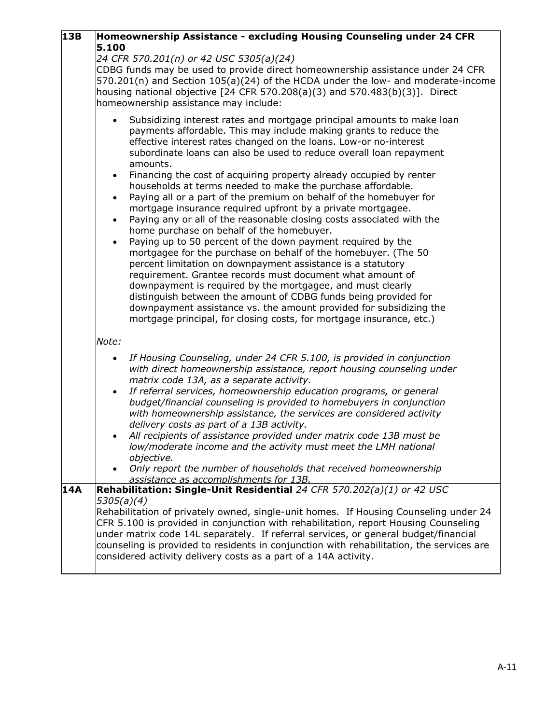| 13B | Homeownership Assistance - excluding Housing Counseling under 24 CFR                                                                                                                                                                                                                                                                                                                                                                                                                                                                                                                                                                                                                                                                                                                                                                                                                                                                                                                                                                                                                                                                                                                                                                                                                                              |
|-----|-------------------------------------------------------------------------------------------------------------------------------------------------------------------------------------------------------------------------------------------------------------------------------------------------------------------------------------------------------------------------------------------------------------------------------------------------------------------------------------------------------------------------------------------------------------------------------------------------------------------------------------------------------------------------------------------------------------------------------------------------------------------------------------------------------------------------------------------------------------------------------------------------------------------------------------------------------------------------------------------------------------------------------------------------------------------------------------------------------------------------------------------------------------------------------------------------------------------------------------------------------------------------------------------------------------------|
|     | 5.100<br>24 CFR 570.201(n) or 42 USC 5305(a)(24)<br>CDBG funds may be used to provide direct homeownership assistance under 24 CFR<br>570.201(n) and Section 105(a)(24) of the HCDA under the low- and moderate-income<br>housing national objective $[24$ CFR 570.208(a)(3) and 570.483(b)(3)]. Direct<br>homeownership assistance may include:                                                                                                                                                                                                                                                                                                                                                                                                                                                                                                                                                                                                                                                                                                                                                                                                                                                                                                                                                                  |
|     | Subsidizing interest rates and mortgage principal amounts to make loan<br>$\bullet$<br>payments affordable. This may include making grants to reduce the<br>effective interest rates changed on the loans. Low-or no-interest<br>subordinate loans can also be used to reduce overall loan repayment<br>amounts.<br>Financing the cost of acquiring property already occupied by renter<br>$\bullet$<br>households at terms needed to make the purchase affordable.<br>Paying all or a part of the premium on behalf of the homebuyer for<br>$\bullet$<br>mortgage insurance required upfront by a private mortgagee.<br>Paying any or all of the reasonable closing costs associated with the<br>$\bullet$<br>home purchase on behalf of the homebuyer.<br>Paying up to 50 percent of the down payment required by the<br>$\bullet$<br>mortgagee for the purchase on behalf of the homebuyer. (The 50<br>percent limitation on downpayment assistance is a statutory<br>requirement. Grantee records must document what amount of<br>downpayment is required by the mortgagee, and must clearly<br>distinguish between the amount of CDBG funds being provided for<br>downpayment assistance vs. the amount provided for subsidizing the<br>mortgage principal, for closing costs, for mortgage insurance, etc.) |
|     | Note:                                                                                                                                                                                                                                                                                                                                                                                                                                                                                                                                                                                                                                                                                                                                                                                                                                                                                                                                                                                                                                                                                                                                                                                                                                                                                                             |
|     | If Housing Counseling, under 24 CFR 5.100, is provided in conjunction<br>$\bullet$<br>with direct homeownership assistance, report housing counseling under<br>matrix code 13A, as a separate activity.<br>If referral services, homeownership education programs, or general<br>$\bullet$<br>budget/financial counseling is provided to homebuyers in conjunction<br>with homeownership assistance, the services are considered activity<br>delivery costs as part of a 13B activity.<br>All recipients of assistance provided under matrix code 13B must be<br>low/moderate income and the activity must meet the LMH national<br>objective.<br>Only report the number of households that received homeownership<br>assistance as accomplishments for 13B.                                                                                                                                                                                                                                                                                                                                                                                                                                                                                                                                                      |
| 14A | Rehabilitation: Single-Unit Residential 24 CFR 570.202(a)(1) or 42 USC<br>5305(a)(4)<br>Rehabilitation of privately owned, single-unit homes. If Housing Counseling under 24<br>CFR 5.100 is provided in conjunction with rehabilitation, report Housing Counseling<br>under matrix code 14L separately. If referral services, or general budget/financial<br>counseling is provided to residents in conjunction with rehabilitation, the services are<br>considered activity delivery costs as a part of a 14A activity.                                                                                                                                                                                                                                                                                                                                                                                                                                                                                                                                                                                                                                                                                                                                                                                         |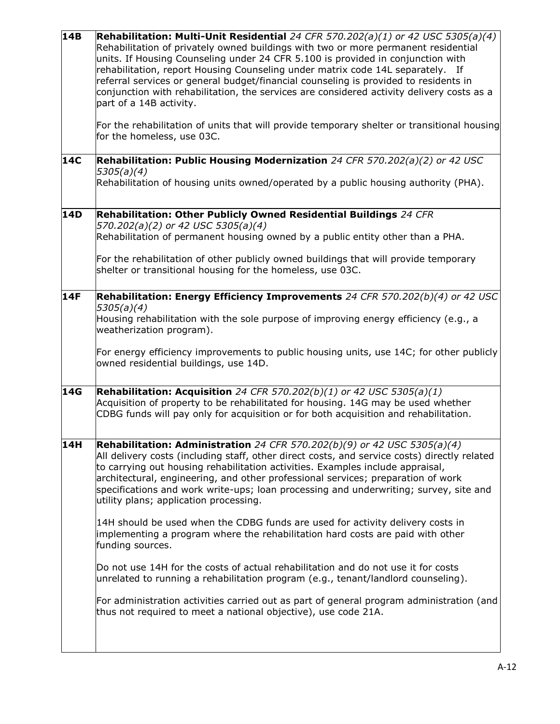| 14B | <b>Rehabilitation: Multi-Unit Residential</b> 24 CFR 570.202(a)(1) or 42 USC 5305(a)(4)<br>Rehabilitation of privately owned buildings with two or more permanent residential<br>units. If Housing Counseling under 24 CFR 5.100 is provided in conjunction with<br>rehabilitation, report Housing Counseling under matrix code 14L separately. If<br>referral services or general budget/financial counseling is provided to residents in<br>conjunction with rehabilitation, the services are considered activity delivery costs as a<br>part of a 14B activity.<br>For the rehabilitation of units that will provide temporary shelter or transitional housing<br>for the homeless, use 03C. |
|-----|-------------------------------------------------------------------------------------------------------------------------------------------------------------------------------------------------------------------------------------------------------------------------------------------------------------------------------------------------------------------------------------------------------------------------------------------------------------------------------------------------------------------------------------------------------------------------------------------------------------------------------------------------------------------------------------------------|
| 14C | Rehabilitation: Public Housing Modernization 24 CFR 570.202(a)(2) or 42 USC<br>5305(a)(4)<br>Rehabilitation of housing units owned/operated by a public housing authority (PHA).                                                                                                                                                                                                                                                                                                                                                                                                                                                                                                                |
| 14D | Rehabilitation: Other Publicly Owned Residential Buildings 24 CFR<br>570.202(a)(2) or 42 USC 5305(a)(4)<br>Rehabilitation of permanent housing owned by a public entity other than a PHA.<br>For the rehabilitation of other publicly owned buildings that will provide temporary<br>shelter or transitional housing for the homeless, use 03C.                                                                                                                                                                                                                                                                                                                                                 |
| 14F | Rehabilitation: Energy Efficiency Improvements 24 CFR 570.202(b)(4) or 42 USC<br>5305(a)(4)<br>Housing rehabilitation with the sole purpose of improving energy efficiency (e.g., a<br>weatherization program).<br>For energy efficiency improvements to public housing units, use 14C; for other publicly<br>owned residential buildings, use 14D.                                                                                                                                                                                                                                                                                                                                             |
| 14G | <b>Rehabilitation: Acquisition</b> 24 CFR 570.202(b)(1) or 42 USC 5305(a)(1)<br>Acquisition of property to be rehabilitated for housing. 14G may be used whether<br>CDBG funds will pay only for acquisition or for both acquisition and rehabilitation.                                                                                                                                                                                                                                                                                                                                                                                                                                        |
| 14H | <b>Rehabilitation: Administration</b> 24 CFR 570.202(b)(9) or 42 USC 5305(a)(4)<br>All delivery costs (including staff, other direct costs, and service costs) directly related<br>to carrying out housing rehabilitation activities. Examples include appraisal,<br>architectural, engineering, and other professional services; preparation of work<br>specifications and work write-ups; loan processing and underwriting; survey, site and<br>utility plans; application processing.<br>14H should be used when the CDBG funds are used for activity delivery costs in                                                                                                                      |
|     | implementing a program where the rehabilitation hard costs are paid with other<br>funding sources.<br>Do not use 14H for the costs of actual rehabilitation and do not use it for costs                                                                                                                                                                                                                                                                                                                                                                                                                                                                                                         |
|     | unrelated to running a rehabilitation program (e.g., tenant/landlord counseling).<br>For administration activities carried out as part of general program administration (and<br>thus not required to meet a national objective), use code 21A.                                                                                                                                                                                                                                                                                                                                                                                                                                                 |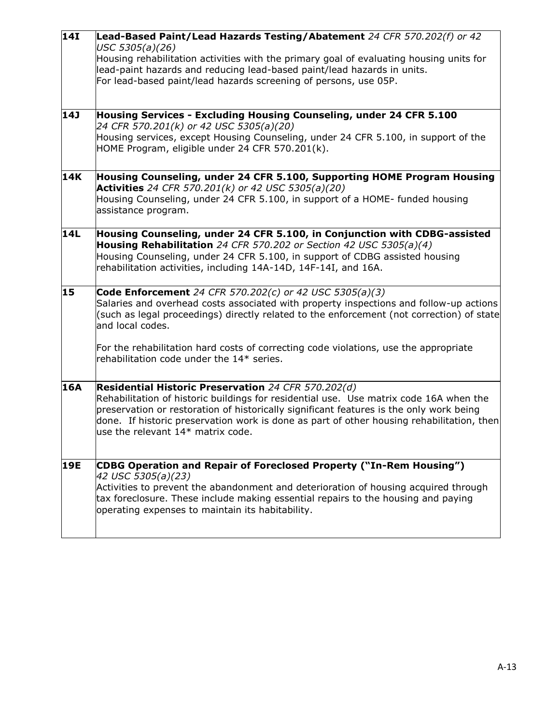| $\overline{14I}$ | Lead-Based Paint/Lead Hazards Testing/Abatement 24 CFR 570.202(f) or 42<br>USC 5305(a)(26)                                                                                                                                                            |
|------------------|-------------------------------------------------------------------------------------------------------------------------------------------------------------------------------------------------------------------------------------------------------|
|                  | Housing rehabilitation activities with the primary goal of evaluating housing units for                                                                                                                                                               |
|                  | lead-paint hazards and reducing lead-based paint/lead hazards in units.                                                                                                                                                                               |
|                  | For lead-based paint/lead hazards screening of persons, use 05P.                                                                                                                                                                                      |
| <b>14J</b>       | Housing Services - Excluding Housing Counseling, under 24 CFR 5.100                                                                                                                                                                                   |
|                  | 24 CFR 570.201(k) or 42 USC 5305(a)(20)                                                                                                                                                                                                               |
|                  | Housing services, except Housing Counseling, under 24 CFR 5.100, in support of the<br>HOME Program, eligible under 24 CFR 570.201(k).                                                                                                                 |
| 14K              | Housing Counseling, under 24 CFR 5.100, Supporting HOME Program Housing                                                                                                                                                                               |
|                  | <b>Activities</b> 24 CFR 570.201(k) or 42 USC 5305(a)(20)<br>Housing Counseling, under 24 CFR 5.100, in support of a HOME- funded housing                                                                                                             |
|                  | assistance program.                                                                                                                                                                                                                                   |
| <b>14L</b>       | Housing Counseling, under 24 CFR 5.100, in Conjunction with CDBG-assisted                                                                                                                                                                             |
|                  | Housing Rehabilitation 24 CFR 570.202 or Section 42 USC 5305(a)(4)<br>Housing Counseling, under 24 CFR 5.100, in support of CDBG assisted housing                                                                                                     |
|                  | rehabilitation activities, including 14A-14D, 14F-14I, and 16A.                                                                                                                                                                                       |
| 15               | <b>Code Enforcement</b> 24 CFR 570.202(c) or 42 USC 5305(a)(3)<br>Salaries and overhead costs associated with property inspections and follow-up actions<br>(such as legal proceedings) directly related to the enforcement (not correction) of state |
|                  | and local codes.                                                                                                                                                                                                                                      |
|                  | For the rehabilitation hard costs of correcting code violations, use the appropriate<br>rehabilitation code under the 14* series.                                                                                                                     |
|                  |                                                                                                                                                                                                                                                       |
| <b>16A</b>       | Residential Historic Preservation 24 CFR 570.202(d)<br>Rehabilitation of historic buildings for residential use. Use matrix code 16A when the                                                                                                         |
|                  | preservation or restoration of historically significant features is the only work being                                                                                                                                                               |
|                  | done. If historic preservation work is done as part of other housing rehabilitation, then<br>use the relevant $14*$ matrix code.                                                                                                                      |
|                  |                                                                                                                                                                                                                                                       |
| <b>19E</b>       | CDBG Operation and Repair of Foreclosed Property ("In-Rem Housing")<br>42 USC 5305(a)(23)                                                                                                                                                             |
|                  | Activities to prevent the abandonment and deterioration of housing acquired through                                                                                                                                                                   |
|                  | tax foreclosure. These include making essential repairs to the housing and paying<br>operating expenses to maintain its habitability.                                                                                                                 |
|                  |                                                                                                                                                                                                                                                       |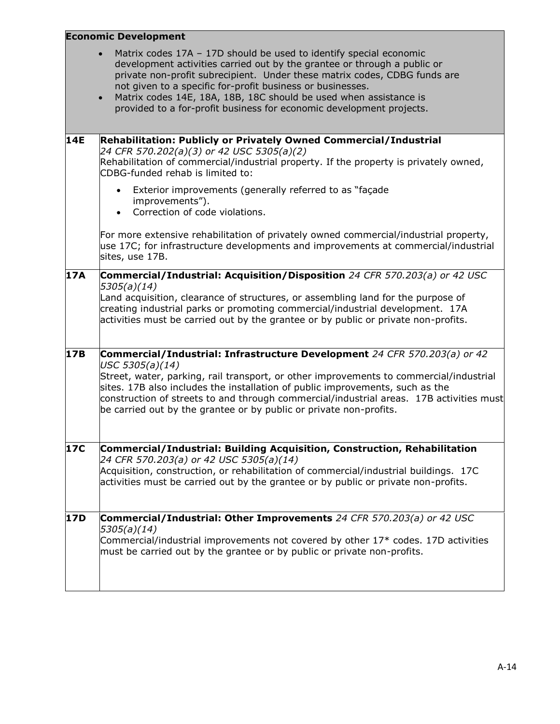|            | <b>Economic Development</b>                                                                                                                                                                                                                                                                                                                                                                                                                                      |  |
|------------|------------------------------------------------------------------------------------------------------------------------------------------------------------------------------------------------------------------------------------------------------------------------------------------------------------------------------------------------------------------------------------------------------------------------------------------------------------------|--|
|            | Matrix codes 17A - 17D should be used to identify special economic<br>$\bullet$<br>development activities carried out by the grantee or through a public or<br>private non-profit subrecipient. Under these matrix codes, CDBG funds are<br>not given to a specific for-profit business or businesses.<br>Matrix codes 14E, 18A, 18B, 18C should be used when assistance is<br>$\bullet$<br>provided to a for-profit business for economic development projects. |  |
| <b>14E</b> | Rehabilitation: Publicly or Privately Owned Commercial/Industrial<br>24 CFR 570.202(a)(3) or 42 USC 5305(a)(2)<br>Rehabilitation of commercial/industrial property. If the property is privately owned,<br>CDBG-funded rehab is limited to:                                                                                                                                                                                                                      |  |
|            | Exterior improvements (generally referred to as "façade<br>$\bullet$<br>improvements").<br>Correction of code violations.<br>$\bullet$                                                                                                                                                                                                                                                                                                                           |  |
|            | For more extensive rehabilitation of privately owned commercial/industrial property,<br>use 17C; for infrastructure developments and improvements at commercial/industrial<br>sites, use 17B.                                                                                                                                                                                                                                                                    |  |
| 17A        | Commercial/Industrial: Acquisition/Disposition 24 CFR 570.203(a) or 42 USC<br>5305(a)(14)<br>Land acquisition, clearance of structures, or assembling land for the purpose of                                                                                                                                                                                                                                                                                    |  |
|            | creating industrial parks or promoting commercial/industrial development. 17A<br>activities must be carried out by the grantee or by public or private non-profits.                                                                                                                                                                                                                                                                                              |  |
| 17B        | Commercial/Industrial: Infrastructure Development 24 CFR 570.203(a) or 42<br>USC 5305(a)(14)                                                                                                                                                                                                                                                                                                                                                                     |  |
|            | Street, water, parking, rail transport, or other improvements to commercial/industrial<br>sites. 17B also includes the installation of public improvements, such as the<br>construction of streets to and through commercial/industrial areas. 17B activities must<br>be carried out by the grantee or by public or private non-profits.                                                                                                                         |  |
| <b>17C</b> | Commercial/Industrial: Building Acquisition, Construction, Rehabilitation<br>24 CFR 570.203(a) or 42 USC 5305(a)(14)                                                                                                                                                                                                                                                                                                                                             |  |
|            | Acquisition, construction, or rehabilitation of commercial/industrial buildings. 17C<br>activities must be carried out by the grantee or by public or private non-profits.                                                                                                                                                                                                                                                                                       |  |
| 17D        | Commercial/Industrial: Other Improvements 24 CFR 570.203(a) or 42 USC<br>5305(a)(14)                                                                                                                                                                                                                                                                                                                                                                             |  |
|            | Commercial/industrial improvements not covered by other $17*$ codes. 17D activities<br>must be carried out by the grantee or by public or private non-profits.                                                                                                                                                                                                                                                                                                   |  |
|            |                                                                                                                                                                                                                                                                                                                                                                                                                                                                  |  |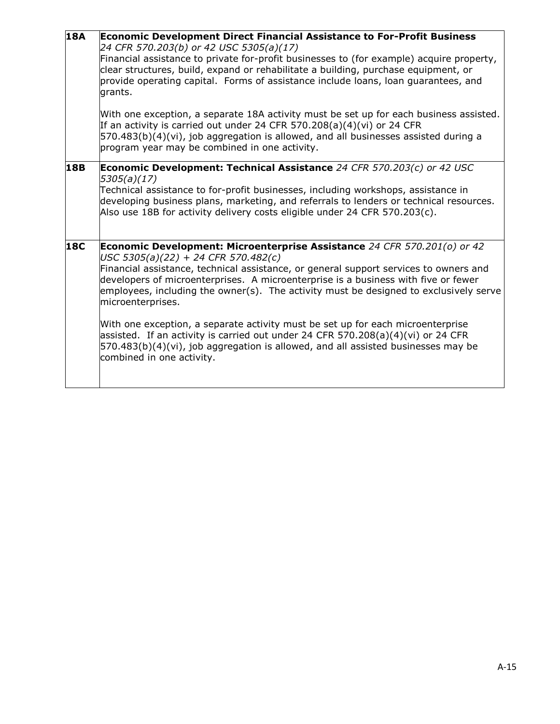| <b>18A</b> | <b>Economic Development Direct Financial Assistance to For-Profit Business</b><br>24 CFR 570.203(b) or 42 USC 5305(a)(17)<br>Financial assistance to private for-profit businesses to (for example) acquire property,<br>clear structures, build, expand or rehabilitate a building, purchase equipment, or<br>provide operating capital. Forms of assistance include loans, loan guarantees, and<br>grants.<br>With one exception, a separate 18A activity must be set up for each business assisted.<br>If an activity is carried out under 24 CFR 570.208(a)(4)(vi) or 24 CFR<br>$[570.483(b)(4)(vi)$ , job aggregation is allowed, and all businesses assisted during a<br>program year may be combined in one activity. |
|------------|------------------------------------------------------------------------------------------------------------------------------------------------------------------------------------------------------------------------------------------------------------------------------------------------------------------------------------------------------------------------------------------------------------------------------------------------------------------------------------------------------------------------------------------------------------------------------------------------------------------------------------------------------------------------------------------------------------------------------|
| <b>18B</b> | Economic Development: Technical Assistance 24 CFR 570.203(c) or 42 USC<br>5305(a)(17)<br>Technical assistance to for-profit businesses, including workshops, assistance in<br>developing business plans, marketing, and referrals to lenders or technical resources.<br>Also use 18B for activity delivery costs eligible under 24 CFR 570.203(c).                                                                                                                                                                                                                                                                                                                                                                           |
| <b>18C</b> | Economic Development: Microenterprise Assistance 24 CFR 570.201(o) or 42<br>USC 5305(a)(22) + 24 CFR 570.482(c)<br>Financial assistance, technical assistance, or general support services to owners and<br>developers of microenterprises. A microenterprise is a business with five or fewer<br>employees, including the owner(s). The activity must be designed to exclusively serve<br>microenterprises.<br>With one exception, a separate activity must be set up for each microenterprise<br>assisted. If an activity is carried out under 24 CFR 570.208(a)(4)(vi) or 24 CFR<br>$[570.483(b)(4)(vi)$ , job aggregation is allowed, and all assisted businesses may be<br>combined in one activity.                    |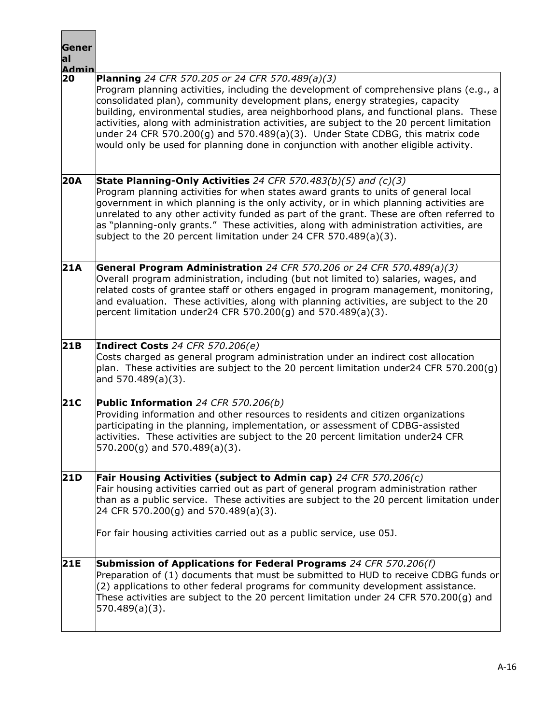| Gener<br>al<br><b>Admin</b> |                                                                                                                                                                                                                                                                                                                                                                                                                                                                                                                                                                                                 |
|-----------------------------|-------------------------------------------------------------------------------------------------------------------------------------------------------------------------------------------------------------------------------------------------------------------------------------------------------------------------------------------------------------------------------------------------------------------------------------------------------------------------------------------------------------------------------------------------------------------------------------------------|
| 20                          | <b>Planning</b> 24 CFR 570.205 or 24 CFR 570.489(a)(3)<br>Program planning activities, including the development of comprehensive plans (e.g., a<br>consolidated plan), community development plans, energy strategies, capacity<br>building, environmental studies, area neighborhood plans, and functional plans. These<br>activities, along with administration activities, are subject to the 20 percent limitation<br>under 24 CFR 570.200(g) and 570.489(a)(3). Under State CDBG, this matrix code<br>would only be used for planning done in conjunction with another eligible activity. |
| 20A                         | State Planning-Only Activities 24 CFR 570.483(b)(5) and $(c)(3)$<br>Program planning activities for when states award grants to units of general local<br>government in which planning is the only activity, or in which planning activities are<br>unrelated to any other activity funded as part of the grant. These are often referred to<br>as "planning-only grants." These activities, along with administration activities, are<br>subject to the 20 percent limitation under 24 CFR 570.489(a)(3).                                                                                      |
| 21A                         | General Program Administration 24 CFR 570.206 or 24 CFR 570.489(a)(3)<br>Overall program administration, including (but not limited to) salaries, wages, and<br>related costs of grantee staff or others engaged in program management, monitoring,<br>and evaluation. These activities, along with planning activities, are subject to the 20<br>percent limitation under24 CFR 570.200(g) and 570.489(a)(3).                                                                                                                                                                                  |
| 21B                         | Indirect Costs 24 CFR 570.206(e)<br>Costs charged as general program administration under an indirect cost allocation<br>plan. These activities are subject to the 20 percent limitation under24 CFR 570.200(g)<br>and $570.489(a)(3)$ .                                                                                                                                                                                                                                                                                                                                                        |
| 21C                         | Public Information 24 CFR 570.206(b)<br>Providing information and other resources to residents and citizen organizations<br>participating in the planning, implementation, or assessment of CDBG-assisted<br>activities. These activities are subject to the 20 percent limitation under24 CFR<br>570.200(g) and 570.489(a)(3).                                                                                                                                                                                                                                                                 |
| <b>21D</b>                  | Fair Housing Activities (subject to Admin cap) 24 CFR 570.206(c)<br>Fair housing activities carried out as part of general program administration rather<br>than as a public service. These activities are subject to the 20 percent limitation under<br>24 CFR 570.200(g) and 570.489(a)(3).<br>For fair housing activities carried out as a public service, use 05J.                                                                                                                                                                                                                          |
| <b>21E</b>                  | Submission of Applications for Federal Programs 24 CFR 570.206(f)<br>Preparation of (1) documents that must be submitted to HUD to receive CDBG funds or<br>$(2)$ applications to other federal programs for community development assistance.<br>These activities are subject to the 20 percent limitation under 24 CFR 570.200(g) and<br>570.489(a)(3).                                                                                                                                                                                                                                       |

Г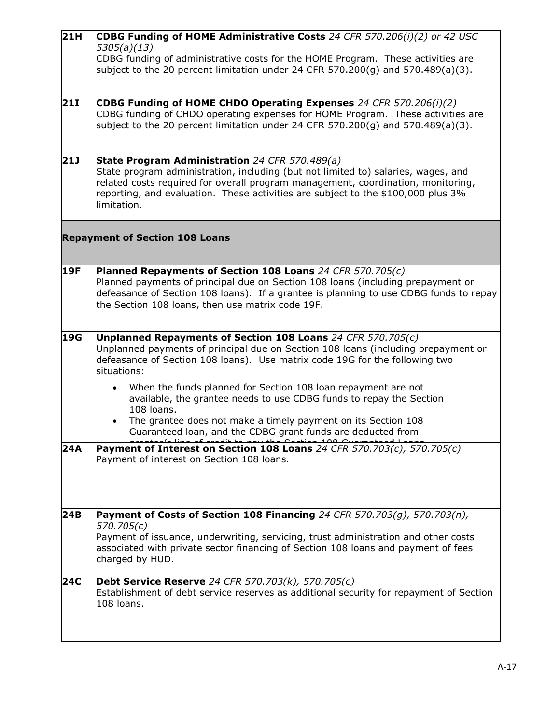| 21H        | CDBG Funding of HOME Administrative Costs 24 CFR 570.206(i)(2) or 42 USC                                                                  |
|------------|-------------------------------------------------------------------------------------------------------------------------------------------|
|            | 5305(a)(13)                                                                                                                               |
|            | CDBG funding of administrative costs for the HOME Program. These activities are                                                           |
|            | subject to the 20 percent limitation under 24 CFR 570.200(g) and 570.489(a)(3).                                                           |
|            |                                                                                                                                           |
| 21I        | CDBG Funding of HOME CHDO Operating Expenses 24 CFR 570.206(i)(2)                                                                         |
|            | CDBG funding of CHDO operating expenses for HOME Program. These activities are                                                            |
|            | subject to the 20 percent limitation under 24 CFR 570.200(g) and 570.489(a)(3).                                                           |
|            |                                                                                                                                           |
|            |                                                                                                                                           |
| 21J        | State Program Administration 24 CFR 570.489(a)<br>State program administration, including (but not limited to) salaries, wages, and       |
|            | related costs required for overall program management, coordination, monitoring,                                                          |
|            | reporting, and evaluation. These activities are subject to the \$100,000 plus 3%                                                          |
|            | limitation.                                                                                                                               |
|            |                                                                                                                                           |
|            | <b>Repayment of Section 108 Loans</b>                                                                                                     |
|            |                                                                                                                                           |
|            |                                                                                                                                           |
| <b>19F</b> | Planned Repayments of Section 108 Loans 24 CFR 570.705(c)                                                                                 |
|            | Planned payments of principal due on Section 108 loans (including prepayment or                                                           |
|            | defeasance of Section 108 loans). If a grantee is planning to use CDBG funds to repay<br>the Section 108 loans, then use matrix code 19F. |
|            |                                                                                                                                           |
|            |                                                                                                                                           |
| 19G        | Unplanned Repayments of Section 108 Loans 24 CFR 570.705 $(c)$                                                                            |
|            | Unplanned payments of principal due on Section 108 loans (including prepayment or                                                         |
|            | defeasance of Section 108 loans). Use matrix code 19G for the following two                                                               |
|            | situations:                                                                                                                               |
|            | When the funds planned for Section 108 loan repayment are not<br>$\bullet$                                                                |
|            | available, the grantee needs to use CDBG funds to repay the Section                                                                       |
|            | 108 loans.                                                                                                                                |
|            | The grantee does not make a timely payment on its Section 108<br>$\bullet$                                                                |
|            | Guaranteed loan, and the CDBG grant funds are deducted from                                                                               |
| 24A        | Payment of Interest on Section 108 Loans 24 CFR 570.703(c), 570.705(c)                                                                    |
|            | Payment of interest on Section 108 loans.                                                                                                 |
|            |                                                                                                                                           |
|            |                                                                                                                                           |
|            |                                                                                                                                           |
| 24B        | Payment of Costs of Section 108 Financing 24 CFR 570.703(g), 570.703(n),                                                                  |
|            | 570.705(c)                                                                                                                                |
|            | Payment of issuance, underwriting, servicing, trust administration and other costs                                                        |
|            | associated with private sector financing of Section 108 loans and payment of fees<br>charged by HUD.                                      |
|            |                                                                                                                                           |
| <b>24C</b> | <b>Debt Service Reserve</b> 24 CFR 570.703(k), 570.705(c)                                                                                 |
|            | Establishment of debt service reserves as additional security for repayment of Section                                                    |
|            | 108 loans.                                                                                                                                |
|            |                                                                                                                                           |
|            |                                                                                                                                           |